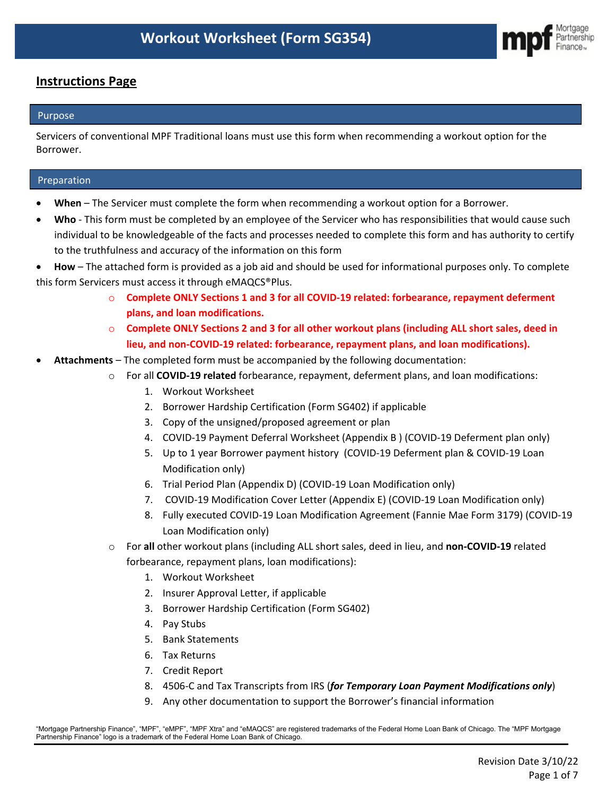

# **Instructions Page**

# Purpose

Servicers of conventional MPF Traditional loans must use this form when recommending a workout option for the Borrower.

# Preparation

- **When**  The Servicer must complete the form when recommending a workout option for a Borrower.
- **Who** This form must be completed by an employee of the Servicer who has responsibilities that would cause such individual to be knowledgeable of the facts and processes needed to complete this form and has authority to certify to the truthfulness and accuracy of the information on this form
- **How** The attached form is provided as a job aid and should be used for informational purposes only. To complete this form Servicers must access it through eMAQCS®Plus.
	- o **Complete ONLY Sections 1 and 3 for all COVID-19 related: forbearance, repayment deferment plans, and loan modifications.**
	- o **Complete ONLY Sections 2 and 3 for all other workout plans (including ALL short sales, deed in lieu, and non-COVID-19 related: forbearance, repayment plans, and loan modifications).**
- **Attachments** The completed form must be accompanied by the following documentation:
	- o For all **COVID-19 related** forbearance, repayment, deferment plans, and loan modifications:
		- 1. Workout Worksheet
		- 2. Borrower Hardship Certification (Form SG402) if applicable
		- 3. Copy of the unsigned/proposed agreement or plan
		- 4. COVID-19 Payment Deferral Worksheet (Appendix B ) (COVID-19 Deferment plan only)
		- 5. Up to 1 year Borrower payment history (COVID-19 Deferment plan & COVID-19 Loan Modification only)
		- 6. Trial Period Plan (Appendix D) (COVID-19 Loan Modification only)
		- 7. COVID-19 Modification Cover Letter (Appendix E) (COVID-19 Loan Modification only)
		- 8. Fully executed COVID-19 Loan Modification Agreement (Fannie Mae Form 3179) (COVID-19 Loan Modification only)
	- o For **all** other workout plans (including ALL short sales, deed in lieu, and **non-COVID-19** related forbearance, repayment plans, loan modifications):
		- 1. Workout Worksheet
		- 2. Insurer Approval Letter, if applicable
		- 3. Borrower Hardship Certification (Form SG402)
		- 4. Pay Stubs
		- 5. Bank Statements
		- 6. Tax Returns
		- 7. Credit Report
		- 8. 4506-C and Tax Transcripts from IRS (*for Temporary Loan Payment Modifications only*)
		- 9. Any other documentation to support the Borrower's financial information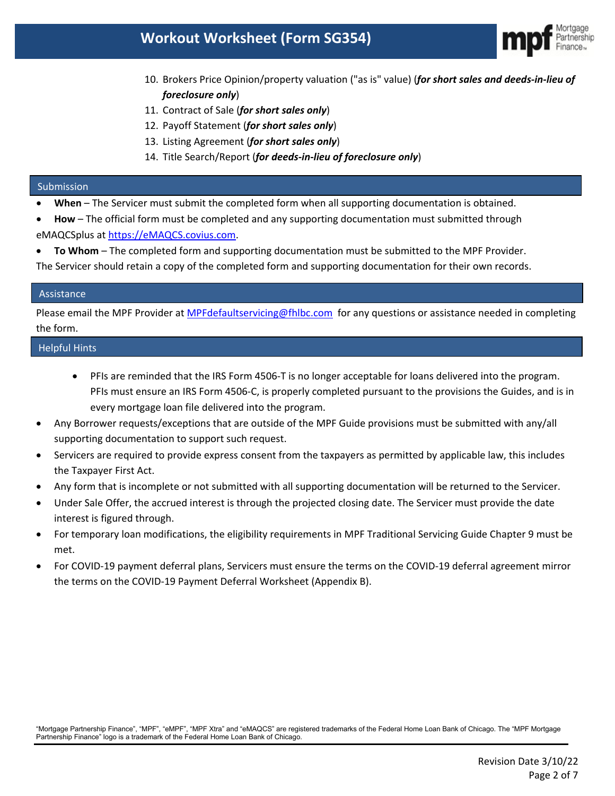

- 10. Brokers Price Opinion/property valuation ("as is" value) (*for short sales and deeds-in-lieu of foreclosure only*)
- 11. Contract of Sale (*for short sales only*)
- 12. Payoff Statement (*for short sales only*)
- 13. Listing Agreement (*for short sales only*)
- 14. Title Search/Report (*for deeds-in-lieu of foreclosure only*)

#### Submission

- **When** The Servicer must submit the completed form when all supporting documentation is obtained.
- **How** The official form must be completed and any supporting documentation must submitted through eMAQCSplus at [https://eMAQCS.covius.com.](https://emaqcs.covius.com/)
- **To Whom** The completed form and supporting documentation must be submitted to the MPF Provider. The Servicer should retain a copy of the completed form and supporting documentation for their own records.

#### Assistance

Please email the MPF Provider at [MPFdefaultservicing@fhlbc.com](mailto:MPFdefaultservicing@fhlbc.com) for any questions or assistance needed in completing the form.

# Helpful Hints

- PFIs are reminded that the IRS Form 4506-T is no longer acceptable for loans delivered into the program. PFIs must ensure an IRS Form 4506-C, is properly completed pursuant to the provisions the Guides, and is in every mortgage loan file delivered into the program.
- Any Borrower requests/exceptions that are outside of the MPF Guide provisions must be submitted with any/all supporting documentation to support such request.
- Servicers are required to provide express consent from the taxpayers as permitted by applicable law, this includes the Taxpayer First Act.
- Any form that is incomplete or not submitted with all supporting documentation will be returned to the Servicer.
- Under Sale Offer, the accrued interest is through the projected closing date. The Servicer must provide the date interest is figured through.
- For temporary loan modifications, the eligibility requirements in MPF Traditional Servicing Guide Chapter 9 must be met.
- For COVID-19 payment deferral plans, Servicers must ensure the terms on the COVID-19 deferral agreement mirror the terms on the COVID-19 Payment Deferral Worksheet (Appendix B).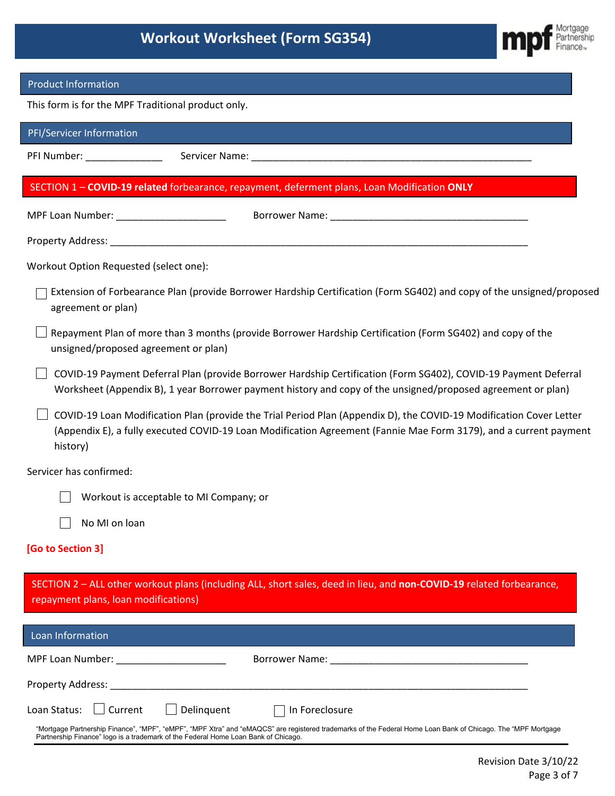

## Product Information

This form is for the MPF Traditional product only.

| PFI/Servicer Information                                                                                                                                                                                                                             |
|------------------------------------------------------------------------------------------------------------------------------------------------------------------------------------------------------------------------------------------------------|
|                                                                                                                                                                                                                                                      |
| SECTION 1-COVID-19 related forbearance, repayment, deferment plans, Loan Modification ONLY                                                                                                                                                           |
| MPF Loan Number: _________________________                                                                                                                                                                                                           |
|                                                                                                                                                                                                                                                      |
| Workout Option Requested (select one):                                                                                                                                                                                                               |
| Extension of Forbearance Plan (provide Borrower Hardship Certification (Form SG402) and copy of the unsigned/proposed<br>agreement or plan)                                                                                                          |
| Repayment Plan of more than 3 months (provide Borrower Hardship Certification (Form SG402) and copy of the<br>unsigned/proposed agreement or plan)                                                                                                   |
| COVID-19 Payment Deferral Plan (provide Borrower Hardship Certification (Form SG402), COVID-19 Payment Deferral<br>Worksheet (Appendix B), 1 year Borrower payment history and copy of the unsigned/proposed agreement or plan)                      |
| COVID-19 Loan Modification Plan (provide the Trial Period Plan (Appendix D), the COVID-19 Modification Cover Letter<br>(Appendix E), a fully executed COVID-19 Loan Modification Agreement (Fannie Mae Form 3179), and a current payment<br>history) |
| Servicer has confirmed:                                                                                                                                                                                                                              |
| Workout is acceptable to MI Company; or                                                                                                                                                                                                              |
| No MI on loan                                                                                                                                                                                                                                        |
| [Go to Section 3]                                                                                                                                                                                                                                    |
| SECTION 2 - ALL other workout plans (including ALL, short sales, deed in lieu, and non-COVID-19 related forbearance,<br>repayment plans, loan modifications)                                                                                         |
| Loan Information                                                                                                                                                                                                                                     |
|                                                                                                                                                                                                                                                      |
|                                                                                                                                                                                                                                                      |
| Delinquent<br>Current<br>Loan Status:<br>In Foreclosure                                                                                                                                                                                              |
| "Mortgage Partnership Finance", "MPF", "eMPF", "MPF Xtra" and "eMAQCS" are registered trademarks of the Federal Home Loan Bank of Chicago. The "MPF Mortgage<br>Partnership Finance" logo is a trademark of the Federal Home Loan Bank of Chicago.   |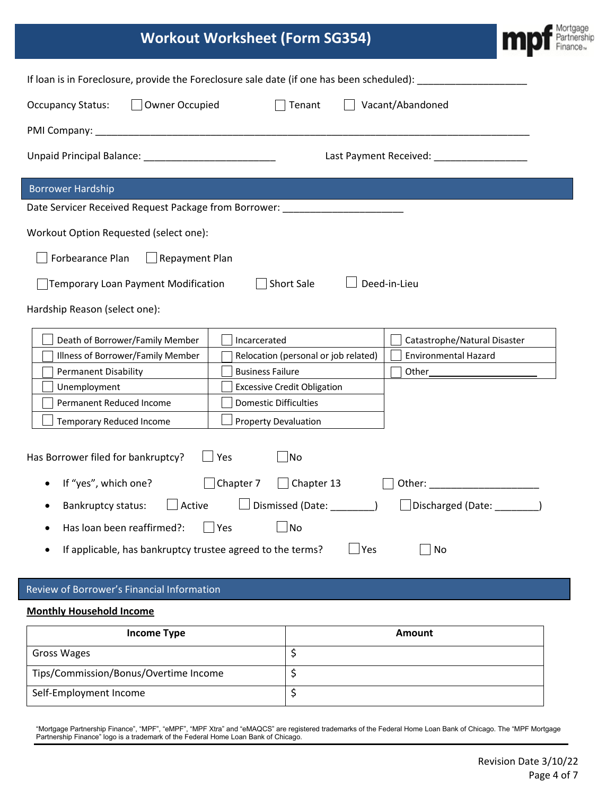| <b>Workout Worksheet (Form SG354)</b>                                                                         |                                      |                                                                                                                | Mortgage |  |
|---------------------------------------------------------------------------------------------------------------|--------------------------------------|----------------------------------------------------------------------------------------------------------------|----------|--|
| If loan is in Foreclosure, provide the Foreclosure sale date (if one has been scheduled): ___________________ |                                      |                                                                                                                |          |  |
| Owner Occupied<br><b>Occupancy Status:</b>                                                                    | Tenant                               | Vacant/Abandoned                                                                                               |          |  |
|                                                                                                               |                                      |                                                                                                                |          |  |
|                                                                                                               |                                      | Last Payment Received: ___________________                                                                     |          |  |
| <b>Borrower Hardship</b>                                                                                      |                                      |                                                                                                                |          |  |
| Date Servicer Received Request Package from Borrower: __________________________                              |                                      |                                                                                                                |          |  |
| Workout Option Requested (select one):                                                                        |                                      |                                                                                                                |          |  |
| Forbearance Plan<br>Repayment Plan                                                                            |                                      |                                                                                                                |          |  |
| <b>Temporary Loan Payment Modification</b>                                                                    | Short Sale                           | Deed-in-Lieu                                                                                                   |          |  |
| Hardship Reason (select one):                                                                                 |                                      |                                                                                                                |          |  |
| Death of Borrower/Family Member                                                                               | Incarcerated                         | Catastrophe/Natural Disaster                                                                                   |          |  |
| Illness of Borrower/Family Member                                                                             | Relocation (personal or job related) | <b>Environmental Hazard</b>                                                                                    |          |  |
| <b>Permanent Disability</b>                                                                                   | <b>Business Failure</b>              |                                                                                                                |          |  |
| Unemployment                                                                                                  | <b>Excessive Credit Obligation</b>   |                                                                                                                |          |  |
| Permanent Reduced Income                                                                                      | <b>Domestic Difficulties</b>         |                                                                                                                |          |  |
| Temporary Reduced Income                                                                                      | <b>Property Devaluation</b>          |                                                                                                                |          |  |
| Has Borrower filed for bankruptcy?                                                                            | Yes<br>No                            |                                                                                                                |          |  |
| If "yes", which one?                                                                                          | Chapter 7<br>Chapter 13              | Other: and the contract of the contract of the contract of the contract of the contract of the contract of the |          |  |
| $\Box$ Active<br><b>Bankruptcy status:</b>                                                                    | Dismissed (Date: _________)          | Discharged (Date: ________)                                                                                    |          |  |
| Has loan been reaffirmed?:                                                                                    | No<br>Yes                            |                                                                                                                |          |  |
| If applicable, has bankruptcy trustee agreed to the terms?                                                    | $\mathsf{\neg}$ Yes                  | No                                                                                                             |          |  |

# Review of Borrower's Financial Information

#### **Monthly Household Income**

| Income Type                           | Amount |
|---------------------------------------|--------|
| Gross Wages                           |        |
| Tips/Commission/Bonus/Overtime Income |        |
| Self-Employment Income                |        |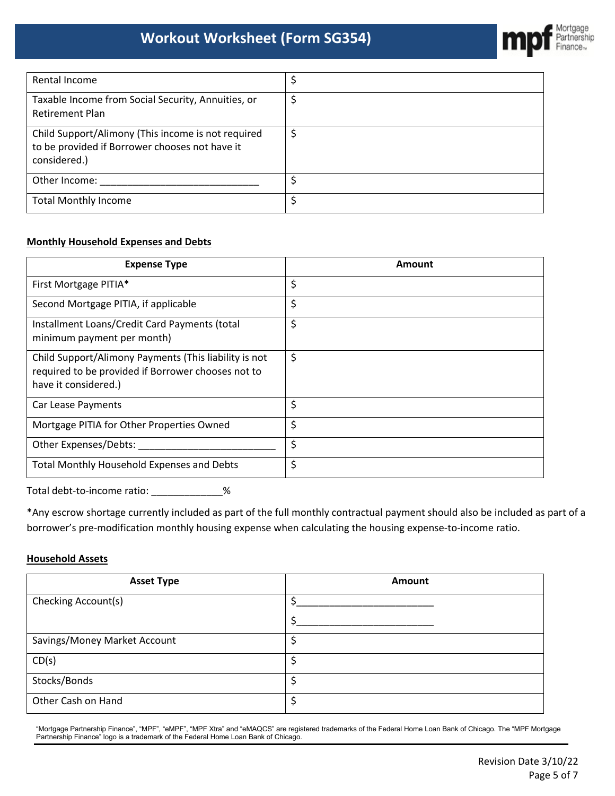

| Rental Income                                                                                                        |  |
|----------------------------------------------------------------------------------------------------------------------|--|
| Taxable Income from Social Security, Annuities, or<br><b>Retirement Plan</b>                                         |  |
| Child Support/Alimony (This income is not required<br>to be provided if Borrower chooses not have it<br>considered.) |  |
| Other Income:                                                                                                        |  |
| <b>Total Monthly Income</b>                                                                                          |  |

## **Monthly Household Expenses and Debts**

| <b>Expense Type</b>                                                                                                                 | Amount |
|-------------------------------------------------------------------------------------------------------------------------------------|--------|
| First Mortgage PITIA*                                                                                                               | \$     |
| Second Mortgage PITIA, if applicable                                                                                                | \$     |
| Installment Loans/Credit Card Payments (total<br>minimum payment per month)                                                         | \$     |
| Child Support/Alimony Payments (This liability is not<br>required to be provided if Borrower chooses not to<br>have it considered.) | \$     |
| Car Lease Payments                                                                                                                  | \$     |
| Mortgage PITIA for Other Properties Owned                                                                                           | \$     |
| Other Expenses/Debts:                                                                                                               | \$     |
| Total Monthly Household Expenses and Debts                                                                                          | \$     |

Total debt-to-income ratio: \_\_\_\_\_\_\_\_\_\_\_\_\_%

\*Any escrow shortage currently included as part of the full monthly contractual payment should also be included as part of a borrower's pre-modification monthly housing expense when calculating the housing expense-to-income ratio.

### **Household Assets**

| <b>Asset Type</b>            | Amount |
|------------------------------|--------|
| Checking Account(s)          |        |
|                              |        |
| Savings/Money Market Account | ÷      |
| CD(s)                        | \$     |
| Stocks/Bonds                 | \$     |
| Other Cash on Hand           | \$     |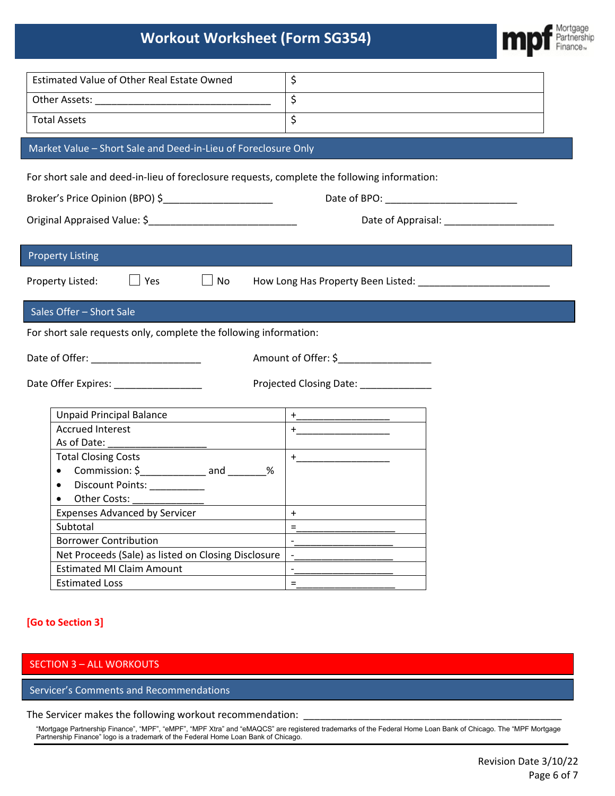| <b>Estimated Value of Other Real Estate Owned</b>                                            | \$                                                                                                                                                                                                                                                                                                                                                                                                                                                                                                                                                                                                                                                                                                                                                                               |  |
|----------------------------------------------------------------------------------------------|----------------------------------------------------------------------------------------------------------------------------------------------------------------------------------------------------------------------------------------------------------------------------------------------------------------------------------------------------------------------------------------------------------------------------------------------------------------------------------------------------------------------------------------------------------------------------------------------------------------------------------------------------------------------------------------------------------------------------------------------------------------------------------|--|
|                                                                                              | $\overline{\xi}$                                                                                                                                                                                                                                                                                                                                                                                                                                                                                                                                                                                                                                                                                                                                                                 |  |
| <b>Total Assets</b>                                                                          | $\overline{\mathsf{S}}$                                                                                                                                                                                                                                                                                                                                                                                                                                                                                                                                                                                                                                                                                                                                                          |  |
|                                                                                              |                                                                                                                                                                                                                                                                                                                                                                                                                                                                                                                                                                                                                                                                                                                                                                                  |  |
| Market Value - Short Sale and Deed-in-Lieu of Foreclosure Only                               |                                                                                                                                                                                                                                                                                                                                                                                                                                                                                                                                                                                                                                                                                                                                                                                  |  |
| For short sale and deed-in-lieu of foreclosure requests, complete the following information: |                                                                                                                                                                                                                                                                                                                                                                                                                                                                                                                                                                                                                                                                                                                                                                                  |  |
| Broker's Price Opinion (BPO) \$________________________                                      |                                                                                                                                                                                                                                                                                                                                                                                                                                                                                                                                                                                                                                                                                                                                                                                  |  |
|                                                                                              |                                                                                                                                                                                                                                                                                                                                                                                                                                                                                                                                                                                                                                                                                                                                                                                  |  |
|                                                                                              |                                                                                                                                                                                                                                                                                                                                                                                                                                                                                                                                                                                                                                                                                                                                                                                  |  |
|                                                                                              |                                                                                                                                                                                                                                                                                                                                                                                                                                                                                                                                                                                                                                                                                                                                                                                  |  |
| <b>Property Listing</b>                                                                      |                                                                                                                                                                                                                                                                                                                                                                                                                                                                                                                                                                                                                                                                                                                                                                                  |  |
| $\Box$ Yes<br>Property Listed:                                                               |                                                                                                                                                                                                                                                                                                                                                                                                                                                                                                                                                                                                                                                                                                                                                                                  |  |
|                                                                                              |                                                                                                                                                                                                                                                                                                                                                                                                                                                                                                                                                                                                                                                                                                                                                                                  |  |
| Sales Offer - Short Sale                                                                     |                                                                                                                                                                                                                                                                                                                                                                                                                                                                                                                                                                                                                                                                                                                                                                                  |  |
| For short sale requests only, complete the following information:                            |                                                                                                                                                                                                                                                                                                                                                                                                                                                                                                                                                                                                                                                                                                                                                                                  |  |
|                                                                                              |                                                                                                                                                                                                                                                                                                                                                                                                                                                                                                                                                                                                                                                                                                                                                                                  |  |
| Date of Offer: ____________________                                                          | Amount of Offer: \$___________________                                                                                                                                                                                                                                                                                                                                                                                                                                                                                                                                                                                                                                                                                                                                           |  |
|                                                                                              |                                                                                                                                                                                                                                                                                                                                                                                                                                                                                                                                                                                                                                                                                                                                                                                  |  |
| Date Offer Expires: ________________                                                         | Projected Closing Date:                                                                                                                                                                                                                                                                                                                                                                                                                                                                                                                                                                                                                                                                                                                                                          |  |
| <b>Unpaid Principal Balance</b>                                                              |                                                                                                                                                                                                                                                                                                                                                                                                                                                                                                                                                                                                                                                                                                                                                                                  |  |
| <b>Accrued Interest</b>                                                                      | $\begin{picture}(20,10) \put(0,0){\dashbox{0.5}(5,0){ }} \put(15,0){\circle{10}} \put(15,0){\circle{10}} \put(15,0){\circle{10}} \put(15,0){\circle{10}} \put(15,0){\circle{10}} \put(15,0){\circle{10}} \put(15,0){\circle{10}} \put(15,0){\circle{10}} \put(15,0){\circle{10}} \put(15,0){\circle{10}} \put(15,0){\circle{10}} \put(15,0){\circle{10}} \put(15,0){\circle{10}} \put(15,0$<br>$\begin{picture}(150,10) \put(0,0){\dashbox{0.5}(10,0){ }} \put(150,0){\circle{10}} \put(150,0){\circle{10}} \put(150,0){\circle{10}} \put(150,0){\circle{10}} \put(150,0){\circle{10}} \put(150,0){\circle{10}} \put(150,0){\circle{10}} \put(150,0){\circle{10}} \put(150,0){\circle{10}} \put(150,0){\circle{10}} \put(150,0){\circle{10}} \put(150,0){\circle{10}} \put(150,$ |  |
| As of Date:                                                                                  |                                                                                                                                                                                                                                                                                                                                                                                                                                                                                                                                                                                                                                                                                                                                                                                  |  |
| <b>Total Closing Costs</b>                                                                   |                                                                                                                                                                                                                                                                                                                                                                                                                                                                                                                                                                                                                                                                                                                                                                                  |  |
| Commission: $\frac{2}{2}$ and _______ %<br>$\bullet$                                         |                                                                                                                                                                                                                                                                                                                                                                                                                                                                                                                                                                                                                                                                                                                                                                                  |  |
| Discount Points:                                                                             |                                                                                                                                                                                                                                                                                                                                                                                                                                                                                                                                                                                                                                                                                                                                                                                  |  |
| Other Costs:<br>$\bullet$                                                                    |                                                                                                                                                                                                                                                                                                                                                                                                                                                                                                                                                                                                                                                                                                                                                                                  |  |
| <b>Expenses Advanced by Servicer</b>                                                         | $\ddot{}$                                                                                                                                                                                                                                                                                                                                                                                                                                                                                                                                                                                                                                                                                                                                                                        |  |
| Subtotal                                                                                     | $=$                                                                                                                                                                                                                                                                                                                                                                                                                                                                                                                                                                                                                                                                                                                                                                              |  |
| <b>Borrower Contribution</b>                                                                 | $\overline{\phantom{a}}$                                                                                                                                                                                                                                                                                                                                                                                                                                                                                                                                                                                                                                                                                                                                                         |  |
| Net Proceeds (Sale) as listed on Closing Disclosure                                          | $\overline{\phantom{a}}$                                                                                                                                                                                                                                                                                                                                                                                                                                                                                                                                                                                                                                                                                                                                                         |  |
| <b>Estimated MI Claim Amount</b>                                                             | $\overline{\phantom{a}}$                                                                                                                                                                                                                                                                                                                                                                                                                                                                                                                                                                                                                                                                                                                                                         |  |
| <b>Estimated Loss</b>                                                                        | $\equiv$                                                                                                                                                                                                                                                                                                                                                                                                                                                                                                                                                                                                                                                                                                                                                                         |  |

## **[Go to Section 3]**

## SECTION 3 – ALL WORKOUTS

Servicer's Comments and Recommendations

## The Servicer makes the following workout recommendation: